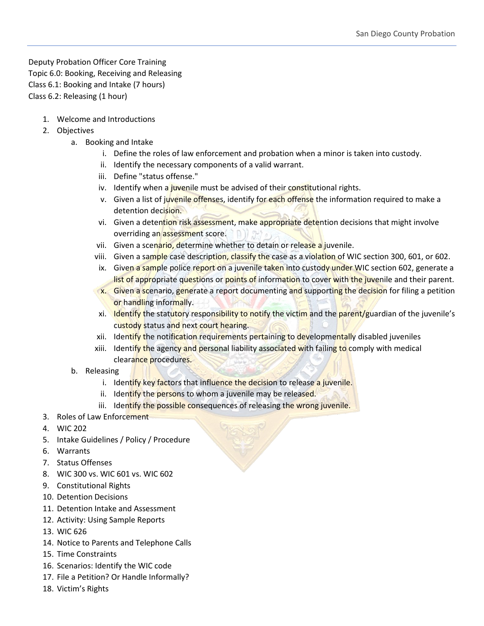Deputy Probation Officer Core Training Topic 6.0: Booking, Receiving and Releasing Class 6.1: Booking and Intake (7 hours) Class 6.2: Releasing (1 hour)

- 1. Welcome and Introductions
- 2. Objectives
	- a. Booking and Intake
		- i. Define the roles of law enforcement and probation when a minor is taken into custody.
		- ii. Identify the necessary components of a valid warrant.
		- iii. Define "status offense."
		- iv. Identify when a juvenile must be advised of their constitutional rights.
		- v. Given a list of juvenile offenses, identify for each offense the information required to make a detention decision.
		- vi. Given a detention risk assessment, make appropriate detention decisions that might involve overriding an assessment score.
		- vii. Given a scenario, determine whether to detain or release a juvenile.
		- viii. Given a sample case description, classify the case as a violation of WIC section 300, 601, or 602.
		- ix. Given a sample police report on a juvenile taken into custody under WIC section 602, generate a list of appropriate questions or points of information to cover with the juvenile and their parent.
		- **x.** Given a scenario, generate a report documenting and supporting the decision for filing a petition or handling informally.
		- xi. Identify the statutory responsibility to notify the victim and the parent/guardian of the juvenile's custody status and next court hearing.
		- xii. Identify the notification requirements pertaining to developmentally disabled juveniles
		- xiii. Identify the agency and personal liability associated with failing to comply with medical clearance procedures.
	- b. Releasing
		- i. Identify key factors that influence the decision to release a juvenile.
		- ii. Identify the persons to whom a juvenile may be released.
		- iii. Identify the possible consequences of releasing the wrong juvenile.
- 3. Roles of Law Enforcement
- 4. WIC 202
- 5. Intake Guidelines / Policy / Procedure
- 6. Warrants
- 7. Status Offenses
- 8. WIC 300 vs. WIC 601 vs. WIC 602
- 9. Constitutional Rights
- 10. Detention Decisions
- 11. Detention Intake and Assessment
- 12. Activity: Using Sample Reports
- 13. WIC 626
- 14. Notice to Parents and Telephone Calls
- 15. Time Constraints
- 16. Scenarios: Identify the WIC code
- 17. File a Petition? Or Handle Informally?
- 18. Victim's Rights